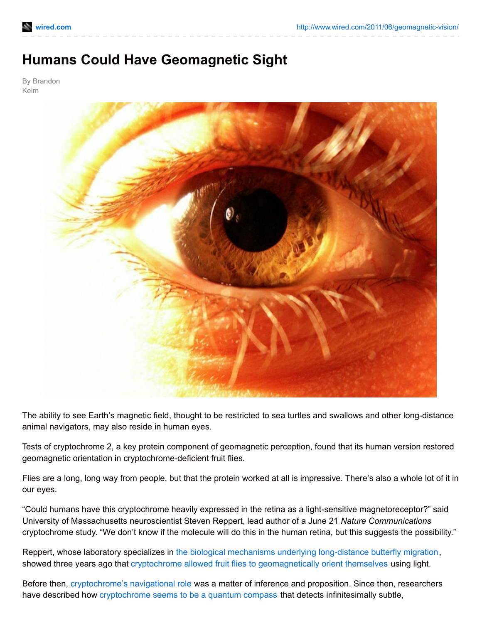## **Humans Could Have Geomagnetic Sight**

By Brandon Keim



The ability to see Earth's magnetic field, thought to be restricted to sea turtles and swallows and other long-distance animal navigators, may also reside in human eyes.

Tests of cryptochrome 2, a key protein component of geomagnetic perception, found that its human version restored geomagnetic orientation in cryptochrome-deficient fruit flies.

Flies are a long, long way from people, but that the protein worked at all is impressive. There's also a whole lot of it in our eyes.

"Could humans have this cryptochrome heavily expressed in the retina as a light-sensitive magnetoreceptor?" said University of Massachusetts neuroscientist Steven Reppert, lead author of a June 21 *Nature Communications* cryptochrome study. "We don't know if the molecule will do this in the human retina, but this suggests the possibility."

Reppert, whose laboratory specializes in the biological mechanisms underlying [long-distance](http://www.wired.com/wiredscience/2009/09/monarch-migration/) butterfly migration, showed three years ago that cryptochrome allowed fruit flies to [geomagnetically](http://www.nature.com/nature/journal/v454/n7207/full/nature07183.html) orient themselves using light.

Before then, [cryptochrome's](http://www.wired.com/wiredscience/2009/06/birdcompass/) navigational role was a matter of inference and proposition. Since then, researchers have described how [cryptochrome](http://www.wired.com/wiredscience/2011/01/quantum-birds/) seems to be a quantum compass that detects infinitesimally subtle,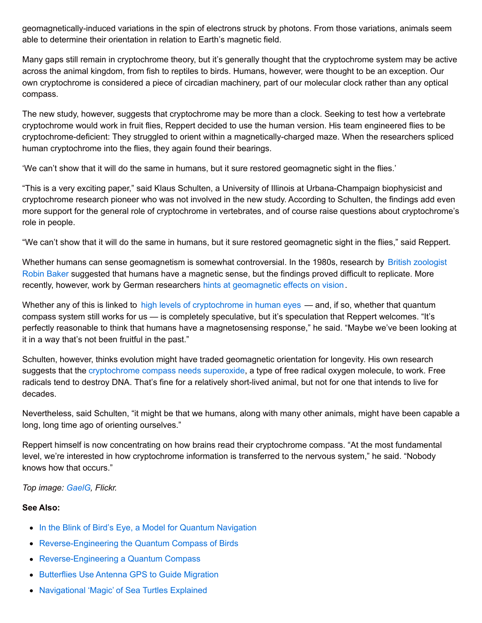geomagnetically-induced variations in the spin of electrons struck by photons. From those variations, animals seem able to determine their orientation in relation to Earth's magnetic field.

Many gaps still remain in cryptochrome theory, but it's generally thought that the cryptochrome system may be active across the animal kingdom, from fish to reptiles to birds. Humans, however, were thought to be an exception. Our own cryptochrome is considered a piece of circadian machinery, part of our molecular clock rather than any optical compass.

The new study, however, suggests that cryptochrome may be more than a clock. Seeking to test how a vertebrate cryptochrome would work in fruit flies, Reppert decided to use the human version. His team engineered flies to be cryptochrome-deficient: They struggled to orient within a magnetically-charged maze. When the researchers spliced human cryptochrome into the flies, they again found their bearings.

'We can't show that it will do the same in humans, but it sure restored geomagnetic sight in the flies.'

"This is a very exciting paper," said Klaus Schulten, a University of Illinois at Urbana-Champaign biophysicist and cryptochrome research pioneer who was not involved in the new study. According to Schulten, the findings add even more support for the general role of cryptochrome in vertebrates, and of course raise questions about cryptochrome's role in people.

"We can't show that it will do the same in humans, but it sure restored geomagnetic sight in the flies," said Reppert.

Whether humans can sense [geomagnetism](https://secure.wikimedia.org/wikipedia/en/wiki/Dr_Robin_Baker#cite_note-6) is somewhat controversial. In the 1980s, research by British zoologist Robin Baker suggested that humans have a magnetic sense, but the findings proved difficult to replicate. More recently, however, work by German researchers hints at [geomagnetic](http://www.springerlink.com/content/jehm555kq4r3kc9w/) effects on vision.

Whether any of this is linked to high levels of [cryptochrome](http://www.iovs.org/content/44/10/4515.full) in human eyes — and, if so, whether that quantum compass system still works for us — is completely speculative, but it's speculation that Reppert welcomes. "It's perfectly reasonable to think that humans have a magnetosensing response," he said. "Maybe we've been looking at it in a way that's not been fruitful in the past."

Schulten, however, thinks evolution might have traded geomagnetic orientation for longevity. His own research suggests that the [cryptochrome](http://www.wired.com/wiredscience/2009/06/birdcompass/) compass needs superoxide, a type of free radical oxygen molecule, to work. Free radicals tend to destroy DNA. That's fine for a relatively short-lived animal, but not for one that intends to live for decades.

Nevertheless, said Schulten, "it might be that we humans, along with many other animals, might have been capable a long, long time ago of orienting ourselves."

Reppert himself is now concentrating on how brains read their cryptochrome compass. "At the most fundamental level, we're interested in how cryptochrome information is transferred to the nervous system," he said. "Nobody knows how that occurs."

*Top image: [GaelG](http://www.flickr.com/photos/gaelg/4128106969/), Flickr.*

## **See Also:**

- In the Blink of Bird's Eye, a Model for Quantum [Navigation](http://www.wired.com/wiredscience/2011/01/quantum-birds/)
- [Reverse-Engineering](http://www.wired.com/wiredscience/2009/06/birdcompass/) the Quantum Compass of Birds
- [Reverse-Engineering](http://www.wired.com/wiredscience/2010/04/reverse-engineering-quantum-compass/) a Quantum Compass
- [Butterflies](http://www.wired.com/wiredscience/2009/09/monarch-migration/) Use Antenna GPS to Guide Migration
- [Navigational](http://www.wired.com/wiredscience/2011/02/turtle-navigation/) 'Magic' of Sea Turtles Explained